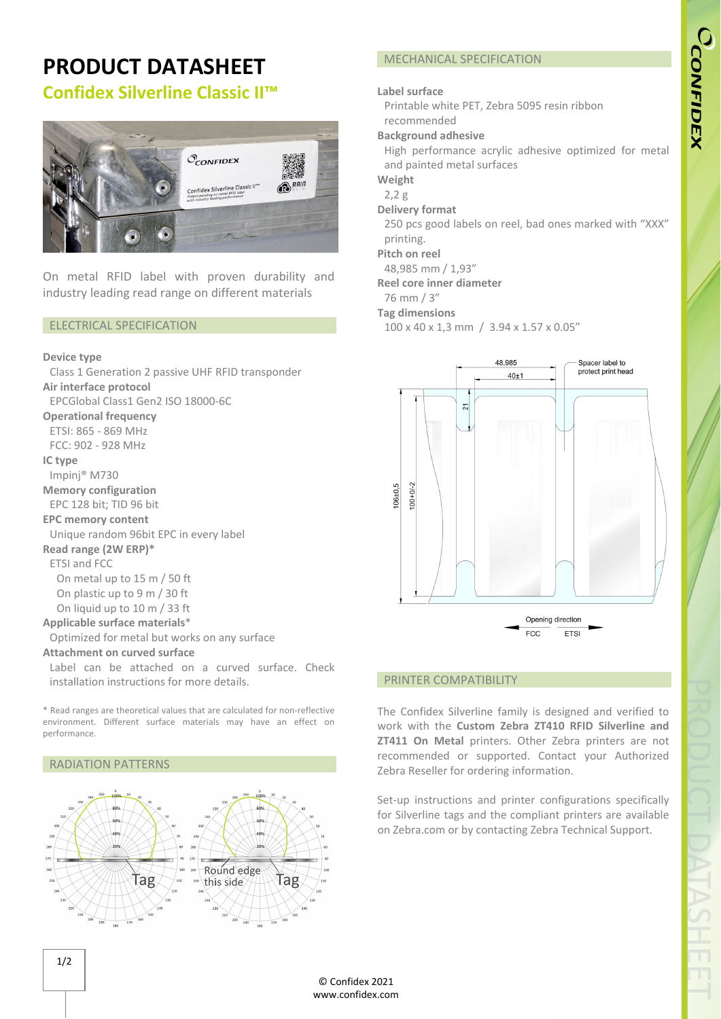# **PRODUCT DATASHEET Confidex Silverline Classic II™**



On metal RFID label with proven durability and industry leading read range on different materials

## ELECTRICAL SPECIFICATION

#### **Device type**

Class 1 Generation 2 passive UHF RFID transponder **Air interface protocol**  EPCGlobal Class1 Gen2 ISO 18000‐6C **Operational frequency** ETSI: 865 ‐ 869 MHz FCC: 902 ‐ 928 MHz **IC type** Impinj® M730 **Memory configuration** EPC 128 bit; TID 96 bit **EPC memory content** Unique random 96bit EPC in every label **Read range (2W ERP)\*** ETSI and FCC On metal up to 15 m / 50 ft On plastic up to 9 m / 30 ft On liquid up to 10 m / 33 ft **Applicable surface materials**\* Optimized for metal but works on any surface **Attachment on curved surface** Label can be attached on a curved surface. Check installation instructions for more details.

\* Read ranges are theoretical values that are calculated for non‐reflective environment. Different surface materials may have an effect on performance.

#### RADIATION PATTERNS



## MECHANICAL SPECIFICATION

## **Label surface**

Printable white PET, Zebra 5095 resin ribbon recommended

#### **Background adhesive**

High performance acrylic adhesive optimized for metal and painted metal surfaces

**Weight**

2,2 g

**Delivery format**

250 pcs good labels on reel, bad ones marked with "XXX" printing.

**Pitch on reel**

48,985 mm / 1,93"

**Reel core inner diameter**

## 76 mm / 3"

**Tag dimensions**

100 x 40 x 1,3 mm / 3.94 x 1.57 x 0.05"



#### PRINTER COMPATIBILITY

The Confidex Silverline family is designed and verified to work with the **Custom Zebra ZT410 RFID Silverline and ZT411 On Metal** printers. Other Zebra printers are not recommended or supported. Contact your Authorized Zebra Reseller for ordering information.

Set-up instructions and printer configurations specifically for Silverline tags and the compliant printers are available on Zebra.com or by contacting Zebra Technical Support.

1/2